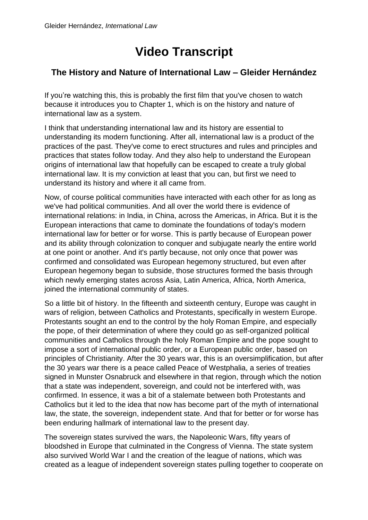## **Video Transcript**

## **The History and Nature of International Law – Gleider Hernández**

If you're watching this, this is probably the first film that you've chosen to watch because it introduces you to Chapter 1, which is on the history and nature of international law as a system.

I think that understanding international law and its history are essential to understanding its modern functioning. After all, international law is a product of the practices of the past. They've come to erect structures and rules and principles and practices that states follow today. And they also help to understand the European origins of international law that hopefully can be escaped to create a truly global international law. It is my conviction at least that you can, but first we need to understand its history and where it all came from.

Now, of course political communities have interacted with each other for as long as we've had political communities. And all over the world there is evidence of international relations: in India, in China, across the Americas, in Africa. But it is the European interactions that came to dominate the foundations of today's modern international law for better or for worse. This is partly because of European power and its ability through colonization to conquer and subjugate nearly the entire world at one point or another. And it's partly because, not only once that power was confirmed and consolidated was European hegemony structured, but even after European hegemony began to subside, those structures formed the basis through which newly emerging states across Asia, Latin America, Africa, North America, joined the international community of states.

So a little bit of history. In the fifteenth and sixteenth century, Europe was caught in wars of religion, between Catholics and Protestants, specifically in western Europe. Protestants sought an end to the control by the holy Roman Empire, and especially the pope, of their determination of where they could go as self-organized political communities and Catholics through the holy Roman Empire and the pope sought to impose a sort of international public order, or a European public order, based on principles of Christianity. After the 30 years war, this is an oversimplification, but after the 30 years war there is a peace called Peace of Westphalia, a series of treaties signed in Munster Osnabruck and elsewhere in that region, through which the notion that a state was independent, sovereign, and could not be interfered with, was confirmed. In essence, it was a bit of a stalemate between both Protestants and Catholics but it led to the idea that now has become part of the myth of international law, the state, the sovereign, independent state. And that for better or for worse has been enduring hallmark of international law to the present day.

The sovereign states survived the wars, the Napoleonic Wars, fifty years of bloodshed in Europe that culminated in the Congress of Vienna. The state system also survived World War I and the creation of the league of nations, which was created as a league of independent sovereign states pulling together to cooperate on